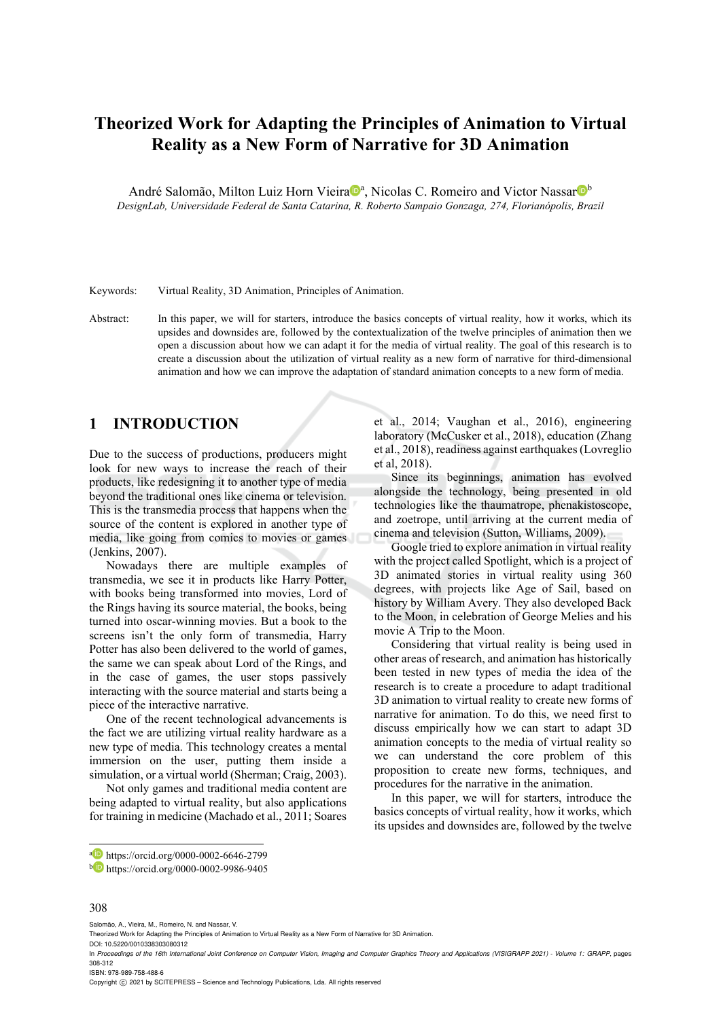# **Theorized Work for Adapting the Principles of Animation to Virtual Reality as a New Form of Narrative for 3D Animation**

André Salomão, Milton Luiz Horn Vieira<sup>noa</sup>, Nicolas C. Romeiro and Victor Nassar<sup>nob</sup> *DesignLab, Universidade Federal de Santa Catarina, R. Roberto Sampaio Gonzaga, 274, Florianópolis, Brazil* 

Keywords: Virtual Reality, 3D Animation, Principles of Animation.

Abstract: In this paper, we will for starters, introduce the basics concepts of virtual reality, how it works, which its upsides and downsides are, followed by the contextualization of the twelve principles of animation then we open a discussion about how we can adapt it for the media of virtual reality. The goal of this research is to create a discussion about the utilization of virtual reality as a new form of narrative for third-dimensional animation and how we can improve the adaptation of standard animation concepts to a new form of media.

### **1 INTRODUCTION**

Due to the success of productions, producers might look for new ways to increase the reach of their products, like redesigning it to another type of media beyond the traditional ones like cinema or television. This is the transmedia process that happens when the source of the content is explored in another type of media, like going from comics to movies or games (Jenkins, 2007).

Nowadays there are multiple examples of transmedia, we see it in products like Harry Potter, with books being transformed into movies, Lord of the Rings having its source material, the books, being turned into oscar-winning movies. But a book to the screens isn't the only form of transmedia, Harry Potter has also been delivered to the world of games, the same we can speak about Lord of the Rings, and in the case of games, the user stops passively interacting with the source material and starts being a piece of the interactive narrative.

One of the recent technological advancements is the fact we are utilizing virtual reality hardware as a new type of media. This technology creates a mental immersion on the user, putting them inside a simulation, or a virtual world (Sherman; Craig, 2003).

Not only games and traditional media content are being adapted to virtual reality, but also applications for training in medicine (Machado et al., 2011; Soares

et al., 2014; Vaughan et al., 2016), engineering laboratory (McCusker et al., 2018), education (Zhang et al., 2018), readiness against earthquakes (Lovreglio et al, 2018).

Since its beginnings, animation has evolved alongside the technology, being presented in old technologies like the thaumatrope, phenakistoscope, and zoetrope, until arriving at the current media of cinema and television (Sutton, Williams, 2009).

Google tried to explore animation in virtual reality with the project called Spotlight, which is a project of 3D animated stories in virtual reality using 360 degrees, with projects like Age of Sail, based on history by William Avery. They also developed Back to the Moon, in celebration of George Melies and his movie A Trip to the Moon.

Considering that virtual reality is being used in other areas of research, and animation has historically been tested in new types of media the idea of the research is to create a procedure to adapt traditional 3D animation to virtual reality to create new forms of narrative for animation. To do this, we need first to discuss empirically how we can start to adapt 3D animation concepts to the media of virtual reality so we can understand the core problem of this proposition to create new forms, techniques, and procedures for the narrative in the animation.

In this paper, we will for starters, introduce the basics concepts of virtual reality, how it works, which its upsides and downsides are, followed by the twelve

#### 308

Salomão, A., Vieira, M., Romeiro, N. and Nassar, V.

DOI: 10.5220/0010338303080312

a https://orcid.org/0000-0002-6646-2799

<sup>b</sup> https://orcid.org/0000-0002-9986-9405

Theorized Work for Adapting the Principles of Animation to Virtual Reality as a New Form of Narrative for 3D Animation.

In *Proceedings of the 16th International Joint Conference on Computer Vision, Imaging and Computer Graphics Theory and Applications (VISIGRAPP 2021) - Volume 1: GRAPP*, pages 308-312

ISBN: 978-989-758-488-6

Copyright (C) 2021 by SCITEPRESS - Science and Technology Publications, Lda. All rights reserved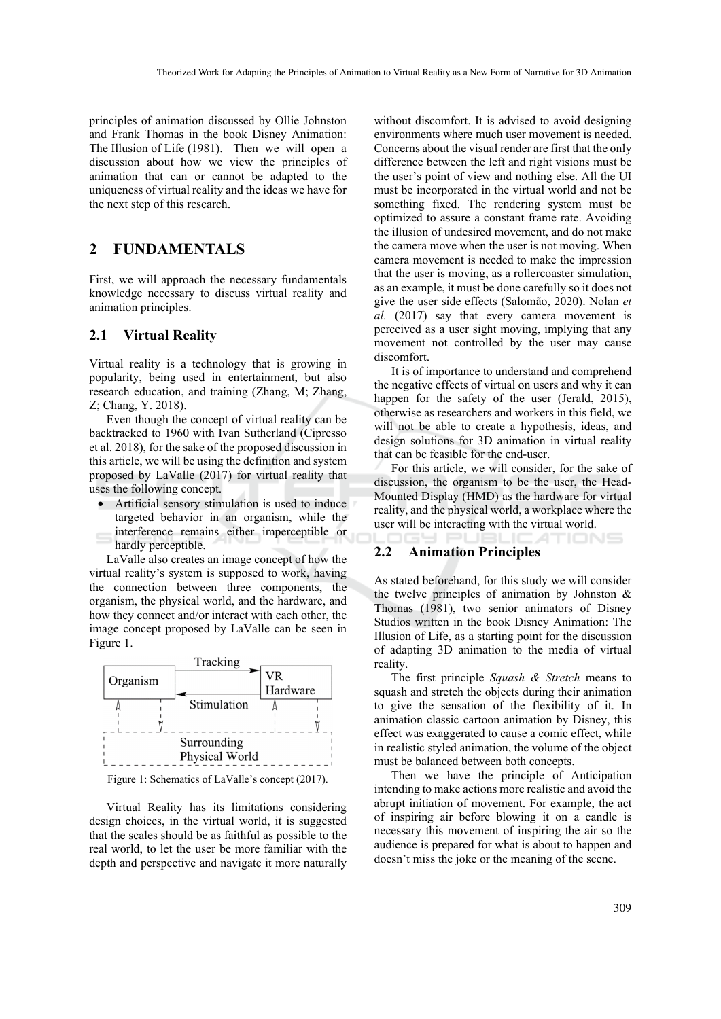principles of animation discussed by Ollie Johnston and Frank Thomas in the book Disney Animation: The Illusion of Life (1981). Then we will open a discussion about how we view the principles of animation that can or cannot be adapted to the uniqueness of virtual reality and the ideas we have for the next step of this research.

# **2 FUNDAMENTALS**

First, we will approach the necessary fundamentals knowledge necessary to discuss virtual reality and animation principles.

#### **2.1 Virtual Reality**

Virtual reality is a technology that is growing in popularity, being used in entertainment, but also research education, and training (Zhang, M; Zhang, Z; Chang, Y. 2018).

Even though the concept of virtual reality can be backtracked to 1960 with Ivan Sutherland (Cipresso et al. 2018), for the sake of the proposed discussion in this article, we will be using the definition and system proposed by LaValle (2017) for virtual reality that uses the following concept.

• Artificial sensory stimulation is used to induce targeted behavior in an organism, while the interference remains either imperceptible or hardly perceptible.

LaValle also creates an image concept of how the virtual reality's system is supposed to work, having the connection between three components, the organism, the physical world, and the hardware, and how they connect and/or interact with each other, the image concept proposed by LaValle can be seen in Figure 1.



Figure 1: Schematics of LaValle's concept (2017).

Virtual Reality has its limitations considering design choices, in the virtual world, it is suggested that the scales should be as faithful as possible to the real world, to let the user be more familiar with the depth and perspective and navigate it more naturally

without discomfort. It is advised to avoid designing environments where much user movement is needed. Concerns about the visual render are first that the only difference between the left and right visions must be the user's point of view and nothing else. All the UI must be incorporated in the virtual world and not be something fixed. The rendering system must be optimized to assure a constant frame rate. Avoiding the illusion of undesired movement, and do not make the camera move when the user is not moving. When camera movement is needed to make the impression that the user is moving, as a rollercoaster simulation, as an example, it must be done carefully so it does not give the user side effects (Salomão, 2020). Nolan *et al.* (2017) say that every camera movement is perceived as a user sight moving, implying that any movement not controlled by the user may cause discomfort.

It is of importance to understand and comprehend the negative effects of virtual on users and why it can happen for the safety of the user (Jerald, 2015), otherwise as researchers and workers in this field, we will not be able to create a hypothesis, ideas, and design solutions for 3D animation in virtual reality that can be feasible for the end-user.

For this article, we will consider, for the sake of discussion, the organism to be the user, the Head-Mounted Display (HMD) as the hardware for virtual reality, and the physical world, a workplace where the user will be interacting with the virtual world.

TIONS

#### **2.2 Animation Principles**

As stated beforehand, for this study we will consider the twelve principles of animation by Johnston & Thomas (1981), two senior animators of Disney Studios written in the book Disney Animation: The Illusion of Life, as a starting point for the discussion of adapting 3D animation to the media of virtual reality.

The first principle *Squash & Stretch* means to squash and stretch the objects during their animation to give the sensation of the flexibility of it. In animation classic cartoon animation by Disney, this effect was exaggerated to cause a comic effect, while in realistic styled animation, the volume of the object must be balanced between both concepts.

Then we have the principle of Anticipation intending to make actions more realistic and avoid the abrupt initiation of movement. For example, the act of inspiring air before blowing it on a candle is necessary this movement of inspiring the air so the audience is prepared for what is about to happen and doesn't miss the joke or the meaning of the scene.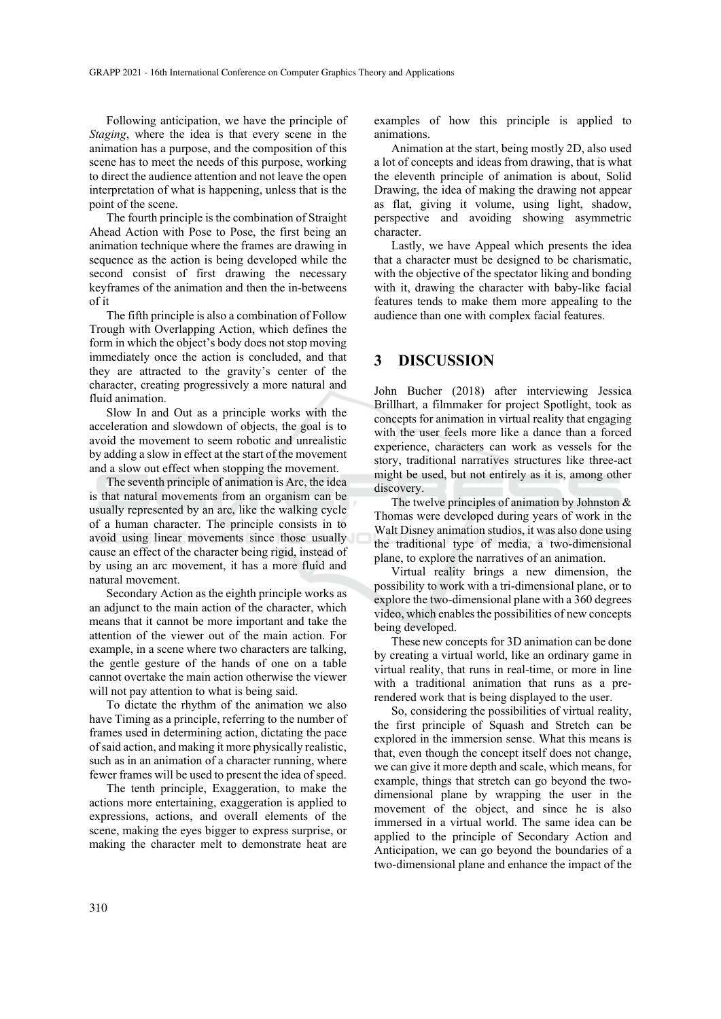Following anticipation, we have the principle of *Staging*, where the idea is that every scene in the animation has a purpose, and the composition of this scene has to meet the needs of this purpose, working to direct the audience attention and not leave the open interpretation of what is happening, unless that is the point of the scene.

The fourth principle is the combination of Straight Ahead Action with Pose to Pose, the first being an animation technique where the frames are drawing in sequence as the action is being developed while the second consist of first drawing the necessary keyframes of the animation and then the in-betweens of it

The fifth principle is also a combination of Follow Trough with Overlapping Action, which defines the form in which the object's body does not stop moving immediately once the action is concluded, and that they are attracted to the gravity's center of the character, creating progressively a more natural and fluid animation.

Slow In and Out as a principle works with the acceleration and slowdown of objects, the goal is to avoid the movement to seem robotic and unrealistic by adding a slow in effect at the start of the movement and a slow out effect when stopping the movement.

The seventh principle of animation is Arc, the idea is that natural movements from an organism can be usually represented by an arc, like the walking cycle of a human character. The principle consists in to avoid using linear movements since those usually cause an effect of the character being rigid, instead of by using an arc movement, it has a more fluid and natural movement.

Secondary Action as the eighth principle works as an adjunct to the main action of the character, which means that it cannot be more important and take the attention of the viewer out of the main action. For example, in a scene where two characters are talking, the gentle gesture of the hands of one on a table cannot overtake the main action otherwise the viewer will not pay attention to what is being said.

To dictate the rhythm of the animation we also have Timing as a principle, referring to the number of frames used in determining action, dictating the pace of said action, and making it more physically realistic, such as in an animation of a character running, where fewer frames will be used to present the idea of speed.

The tenth principle, Exaggeration, to make the actions more entertaining, exaggeration is applied to expressions, actions, and overall elements of the scene, making the eyes bigger to express surprise, or making the character melt to demonstrate heat are examples of how this principle is applied to animations.

Animation at the start, being mostly 2D, also used a lot of concepts and ideas from drawing, that is what the eleventh principle of animation is about, Solid Drawing, the idea of making the drawing not appear as flat, giving it volume, using light, shadow, perspective and avoiding showing asymmetric character.

Lastly, we have Appeal which presents the idea that a character must be designed to be charismatic, with the objective of the spectator liking and bonding with it, drawing the character with baby-like facial features tends to make them more appealing to the audience than one with complex facial features.

### **3 DISCUSSION**

John Bucher (2018) after interviewing Jessica Brillhart, a filmmaker for project Spotlight, took as concepts for animation in virtual reality that engaging with the user feels more like a dance than a forced experience, characters can work as vessels for the story, traditional narratives structures like three-act might be used, but not entirely as it is, among other discovery.

The twelve principles of animation by Johnston & Thomas were developed during years of work in the Walt Disney animation studios, it was also done using the traditional type of media, a two-dimensional plane, to explore the narratives of an animation.

Virtual reality brings a new dimension, the possibility to work with a tri-dimensional plane, or to explore the two-dimensional plane with a 360 degrees video, which enables the possibilities of new concepts being developed.

These new concepts for 3D animation can be done by creating a virtual world, like an ordinary game in virtual reality, that runs in real-time, or more in line with a traditional animation that runs as a prerendered work that is being displayed to the user.

So, considering the possibilities of virtual reality, the first principle of Squash and Stretch can be explored in the immersion sense. What this means is that, even though the concept itself does not change, we can give it more depth and scale, which means, for example, things that stretch can go beyond the twodimensional plane by wrapping the user in the movement of the object, and since he is also immersed in a virtual world. The same idea can be applied to the principle of Secondary Action and Anticipation, we can go beyond the boundaries of a two-dimensional plane and enhance the impact of the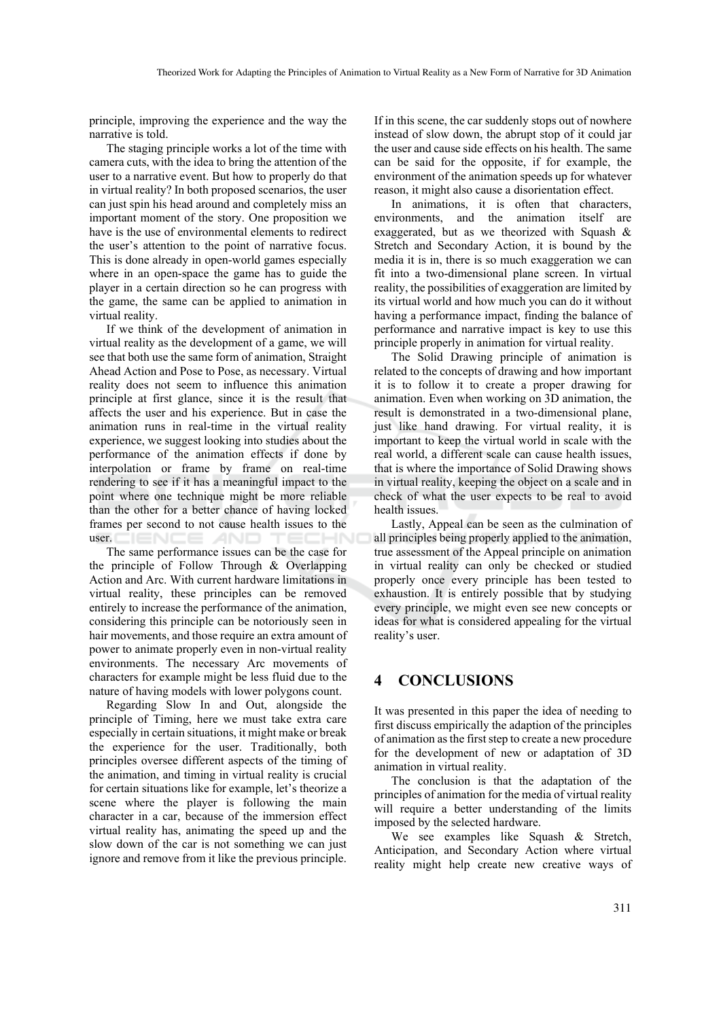principle, improving the experience and the way the narrative is told.

The staging principle works a lot of the time with camera cuts, with the idea to bring the attention of the user to a narrative event. But how to properly do that in virtual reality? In both proposed scenarios, the user can just spin his head around and completely miss an important moment of the story. One proposition we have is the use of environmental elements to redirect the user's attention to the point of narrative focus. This is done already in open-world games especially where in an open-space the game has to guide the player in a certain direction so he can progress with the game, the same can be applied to animation in virtual reality.

If we think of the development of animation in virtual reality as the development of a game, we will see that both use the same form of animation, Straight Ahead Action and Pose to Pose, as necessary. Virtual reality does not seem to influence this animation principle at first glance, since it is the result that affects the user and his experience. But in case the animation runs in real-time in the virtual reality experience, we suggest looking into studies about the performance of the animation effects if done by interpolation or frame by frame on real-time rendering to see if it has a meaningful impact to the point where one technique might be more reliable than the other for a better chance of having locked frames per second to not cause health issues to the user.  $\Box$   $\Box$   $\Box$   $\Box$   $\Box$ **AND** 

The same performance issues can be the case for the principle of Follow Through & Overlapping Action and Arc. With current hardware limitations in virtual reality, these principles can be removed entirely to increase the performance of the animation, considering this principle can be notoriously seen in hair movements, and those require an extra amount of power to animate properly even in non-virtual reality environments. The necessary Arc movements of characters for example might be less fluid due to the nature of having models with lower polygons count.

Regarding Slow In and Out, alongside the principle of Timing, here we must take extra care especially in certain situations, it might make or break the experience for the user. Traditionally, both principles oversee different aspects of the timing of the animation, and timing in virtual reality is crucial for certain situations like for example, let's theorize a scene where the player is following the main character in a car, because of the immersion effect virtual reality has, animating the speed up and the slow down of the car is not something we can just ignore and remove from it like the previous principle.

If in this scene, the car suddenly stops out of nowhere instead of slow down, the abrupt stop of it could jar the user and cause side effects on his health. The same can be said for the opposite, if for example, the environment of the animation speeds up for whatever reason, it might also cause a disorientation effect.

In animations, it is often that characters, environments, and the animation itself are exaggerated, but as we theorized with Squash & Stretch and Secondary Action, it is bound by the media it is in, there is so much exaggeration we can fit into a two-dimensional plane screen. In virtual reality, the possibilities of exaggeration are limited by its virtual world and how much you can do it without having a performance impact, finding the balance of performance and narrative impact is key to use this principle properly in animation for virtual reality.

The Solid Drawing principle of animation is related to the concepts of drawing and how important it is to follow it to create a proper drawing for animation. Even when working on 3D animation, the result is demonstrated in a two-dimensional plane, just like hand drawing. For virtual reality, it is important to keep the virtual world in scale with the real world, a different scale can cause health issues, that is where the importance of Solid Drawing shows in virtual reality, keeping the object on a scale and in check of what the user expects to be real to avoid health issues.

Lastly, Appeal can be seen as the culmination of all principles being properly applied to the animation, true assessment of the Appeal principle on animation in virtual reality can only be checked or studied properly once every principle has been tested to exhaustion. It is entirely possible that by studying every principle, we might even see new concepts or ideas for what is considered appealing for the virtual reality's user.

# **4 CONCLUSIONS**

It was presented in this paper the idea of needing to first discuss empirically the adaption of the principles of animation as the first step to create a new procedure for the development of new or adaptation of 3D animation in virtual reality.

The conclusion is that the adaptation of the principles of animation for the media of virtual reality will require a better understanding of the limits imposed by the selected hardware.

We see examples like Squash & Stretch, Anticipation, and Secondary Action where virtual reality might help create new creative ways of